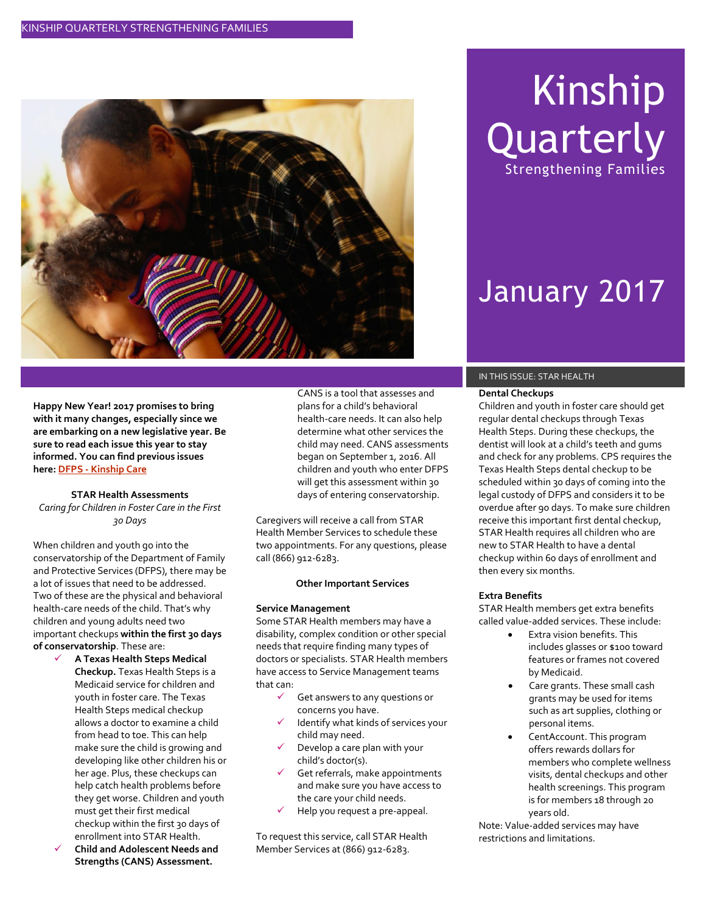

Kinship **Quarterly** Strengthening Families

# January 2017

**Happy New Year! 2017 promises to bring with it many changes, especially since we are embarking on a new legislative year. Be sure to read each issue this year to stay informed. You can find previous issues here: DFPS - [Kinship Care](https://www.dfps.state.tx.us/Adoption_and_Foster_Care/Kinship_Care/)**

#### **STAR Health Assessments**

*Caring for Children in Foster Care in the First 30 Days*

When children and youth go into the conservatorship of the Department of Family and Protective Services (DFPS), there may be a lot of issues that need to be addressed. Two of these are the physical and behavioral health-care needs of the child. That's why children and young adults need two important checkups **within the first 30 days of conservatorship**. These are:

- **A Texas Health Steps Medical Checkup.** Texas Health Steps is a Medicaid service for children and youth in foster care. The Texas Health Steps medical checkup allows a doctor to examine a child from head to toe. This can help make sure the child is growing and developing like other children his or her age. Plus, these checkups can help catch health problems before they get worse. Children and youth must get their first medical checkup within the first 30 days of enrollment into STAR Health.
- **Child and Adolescent Needs and Strengths (CANS) Assessment.**

CANS is a tool that assesses and plans for a child's behavioral health-care needs. It can also help determine what other services the child may need. CANS assessments began on September 1, 2016. All children and youth who enter DFPS will get this assessment within 30 days of entering conservatorship.

Caregivers will receive a call from STAR Health Member Services to schedule these two appointments. For any questions, please call (866) 912-6283.

#### **Other Important Services**

#### **Service Management**

Some STAR Health members may have a disability, complex condition or other special needs that require finding many types of doctors or specialists. STAR Health members have access to Service Management teams that can:

- Get answers to any questions or concerns you have.
- Identify what kinds of services your child may need.
- Develop a care plan with your child's doctor(s).
- Get referrals, make appointments and make sure you have access to the care your child needs.
- Help you request a pre-appeal.

To request this service, call STAR Health Member Services at (866) 912-6283.

#### IN THIS ISSUE: STAR HEALTH

#### **Dental Checkups**

Children and youth in foster care should get regular dental checkups through Texas Health Steps. During these checkups, the dentist will look at a child's teeth and gums and check for any problems. CPS requires the Texas Health Steps dental checkup to be scheduled within 30 days of coming into the legal custody of DFPS and considers it to be overdue after 90 days. To make sure children receive this important first dental checkup, STAR Health requires all children who are new to STAR Health to have a dental checkup within 60 days of enrollment and then every six months.

#### **Extra Benefits**

STAR Health members get extra benefits called value-added services. These include:

- Extra vision benefits. This includes glasses or \$100 toward features or frames not covered by Medicaid.
- Care grants. These small cash grants may be used for items such as art supplies, clothing or personal items.
- CentAccount. This program offers rewards dollars for members who complete wellness visits, dental checkups and other health screenings. This program is for members 18 through 20 years old.

Note: Value-added services may have restrictions and limitations.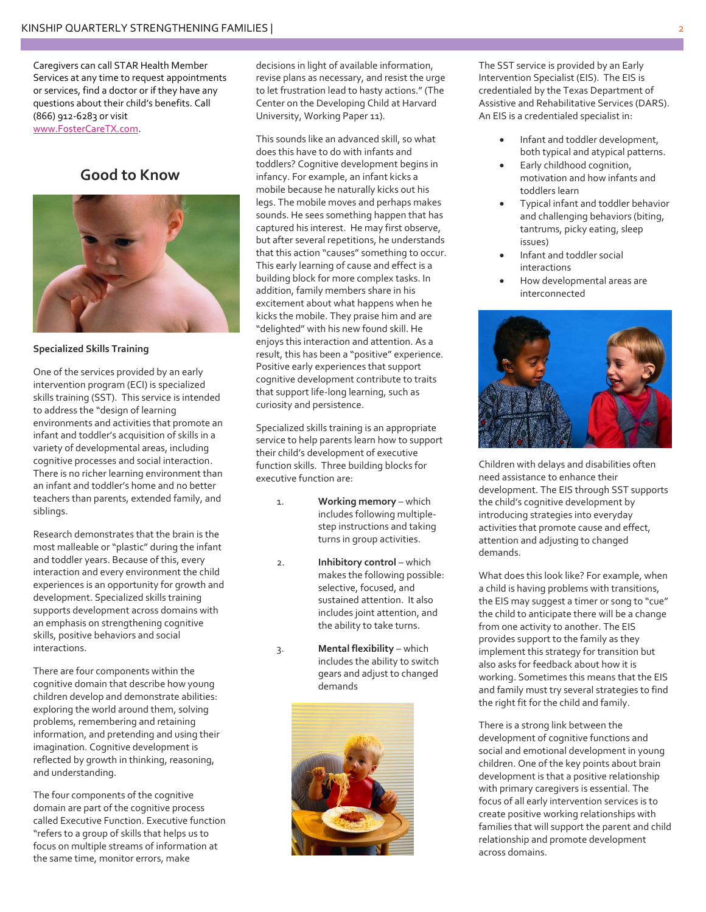Caregivers can call STAR Health Member Services at any time to request appointments or services, find a doctor or if they have any questions about their child's benefits. Call (866) 912-6283 or visit [www.FosterCareTX.com.](http://www.fostercaretx.com/)

### **Good to Know**



#### **Specialized Skills Training**

One of the services provided by an early intervention program (ECI) is specialized skills training (SST). This service is intended to address the "design of learning environments and activities that promote an infant and toddler's acquisition of skills in a variety of developmental areas, including cognitive processes and social interaction. There is no richer learning environment than an infant and toddler's home and no better teachers than parents, extended family, and siblings.

Research demonstrates that the brain is the most malleable or "plastic" during the infant and toddler years. Because of this, every interaction and every environment the child experiences is an opportunity for growth and development. Specialized skills training supports development across domains with an emphasis on strengthening cognitive skills, positive behaviors and social interactions.

There are four components within the cognitive domain that describe how young children develop and demonstrate abilities: exploring the world around them, solving problems, remembering and retaining information, and pretending and using their imagination. Cognitive development is reflected by growth in thinking, reasoning, and understanding.

The four components of the cognitive domain are part of the cognitive process called Executive Function. Executive function "refers to a group of skills that helps us to focus on multiple streams of information at the same time, monitor errors, make

decisions in light of available information, revise plans as necessary, and resist the urge to let frustration lead to hasty actions." (The Center on the Developing Child at Harvard University, Working Paper 11).

This sounds like an advanced skill, so what does this have to do with infants and toddlers? Cognitive development begins in infancy. For example, an infant kicks a mobile because he naturally kicks out his legs. The mobile moves and perhaps makes sounds. He sees something happen that has captured his interest. He may first observe, but after several repetitions, he understands that this action "causes" something to occur. This early learning of cause and effect is a building block for more complex tasks. In addition, family members share in his excitement about what happens when he kicks the mobile. They praise him and are "delighted" with his new found skill. He enjoys this interaction and attention. As a result, this has been a "positive" experience. Positive early experiences that support cognitive development contribute to traits that support life-long learning, such as curiosity and persistence.

Specialized skills training is an appropriate service to help parents learn how to support their child's development of executive function skills. Three building blocks for executive function are:

- 1. **Working memory** which includes following multiplestep instructions and taking turns in group activities.
- 2. **Inhibitory control** which makes the following possible: selective, focused, and sustained attention. It also includes joint attention, and the ability to take turns.
- 3. **Mental flexibility** which includes the ability to switch gears and adjust to changed demands



The SST service is provided by an Early Intervention Specialist (EIS). The EIS is credentialed by the Texas Department of Assistive and Rehabilitative Services (DARS). An EIS is a credentialed specialist in:

- Infant and toddler development, both typical and atypical patterns.
- Early childhood cognition, motivation and how infants and toddlers learn
- Typical infant and toddler behavior and challenging behaviors (biting, tantrums, picky eating, sleep issues)
- Infant and toddler social interactions
- How developmental areas are interconnected



Children with delays and disabilities often need assistance to enhance their development. The EIS through SST supports the child's cognitive development by introducing strategies into everyday activities that promote cause and effect, attention and adjusting to changed demands.

What does this look like? For example, when a child is having problems with transitions, the EIS may suggest a timer or song to "cue" the child to anticipate there will be a change from one activity to another. The EIS provides support to the family as they implement this strategy for transition but also asks for feedback about how it is working. Sometimes this means that the EIS and family must try several strategies to find the right fit for the child and family.

There is a strong link between the development of cognitive functions and social and emotional development in young children. One of the key points about brain development is that a positive relationship with primary caregivers is essential. The focus of all early intervention services is to create positive working relationships with families that will support the parent and child relationship and promote development across domains.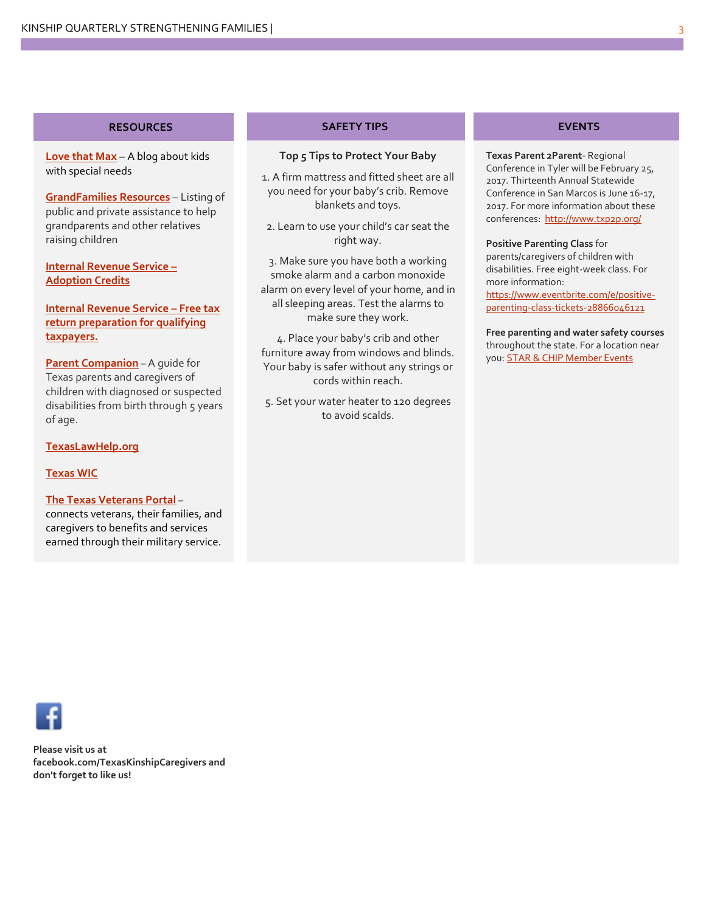#### **RESOURCES**

**[Love that Max](http://www.lovethatmax.com/2015/04/free-things-for-kids-with-special-needs.html?m=1)** – A blog about kids with special needs

**[GrandFamilies Resources](http://www.aarp.org/relationships/friends-family/info-08-2011/grandfamlies-guide-resources.html)** – Listing of public and private assistance to help grandparents and other relatives raising children

**[Internal Revenue Service](https://www.irs.gov/businesses/small-businesses-self-employed/adoption-credit-glance) – [Adoption Credits](https://www.irs.gov/businesses/small-businesses-self-employed/adoption-credit-glance)**

**[Internal Revenue Service](https://www.irs.gov/individuals/free-tax-return-preparation-for-you-by-volunteers) – Free tax [return preparation for qualifying](https://www.irs.gov/individuals/free-tax-return-preparation-for-you-by-volunteers)  [taxpayers.](https://www.irs.gov/individuals/free-tax-return-preparation-for-you-by-volunteers)**

**[Parent Companion](http://www.parentcompanion.org/)** – A guide for Texas parents and caregivers of children with diagnosed or suspected disabilities from birth through 5 years of age.

**[TexasLawHelp.org](http://texaslawhelp.org/)**

#### **[Texas WIC](http://texaswic.dshs.state.tx.us/wiclessons/english/about/)**

**[The Texas Veterans Portal](.%20%20https:/veterans.portal.texas.gov/)** –

connects veterans, their families, and caregivers to benefits and services earned through their military service.

#### **SAFETY TIPS**

#### **Top 5 Tips to Protect Your Baby**

1. A firm mattress and fitted sheet are all you need for your baby's crib. Remove blankets and toys.

2. Learn to use your child's car seat the right way.

3. Make sure you have both a working smoke alarm and a carbon monoxide alarm on every level of your home, and in all sleeping areas. Test the alarms to make sure they work.

4. Place your baby's crib and other furniture away from windows and blinds. Your baby is safer without any strings or cords within reach.

5. Set your water heater to 120 degrees to avoid scalds.

#### **EVENTS**

**Texas Parent 2Parent**- Regional Conference in Tyler will be February 25, 2017. Thirteenth Annual Statewide Conference in San Marcos is June 16-17, 2017. For more information about these conferences:<http://www.txp2p.org/>

**Positive Parenting Class** for parents/caregivers of children with disabilities. Free eight-week class. For more information: [https://www.eventbrite.com/e/positive](https://www.eventbrite.com/e/positive-parenting-class-tickets-28866046121)[parenting-class-tickets-28866046121](https://www.eventbrite.com/e/positive-parenting-class-tickets-28866046121)

**Free parenting and water safety courses** throughout the state. For a location near you[: STAR & CHIP Member Events](https://www.superiorhealthplan.com/members/medicaid/medicaid-newsroom/star-chip-member-events.html)

**Please visit us at facebook.com/TexasKinshipCaregivers and don't forget to like us!**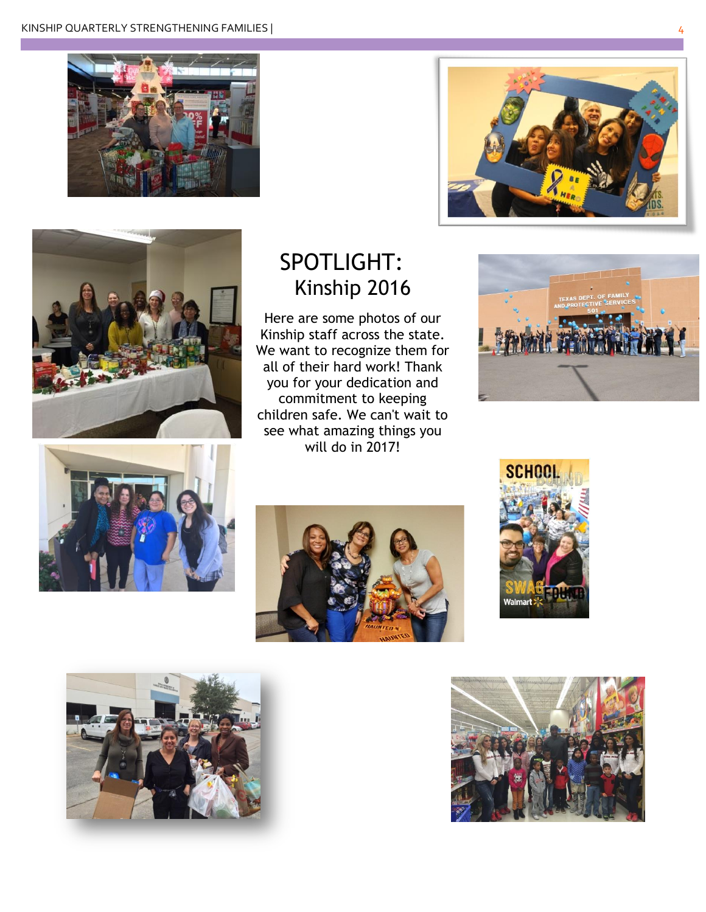





### SPOTLIGHT: Kinship 2016

Here are some photos of our Kinship staff across the state. We want to recognize them for all of their hard work! Thank you for your dedication and commitment to keeping children safe. We can't wait to see what amazing things you will do in 2017!